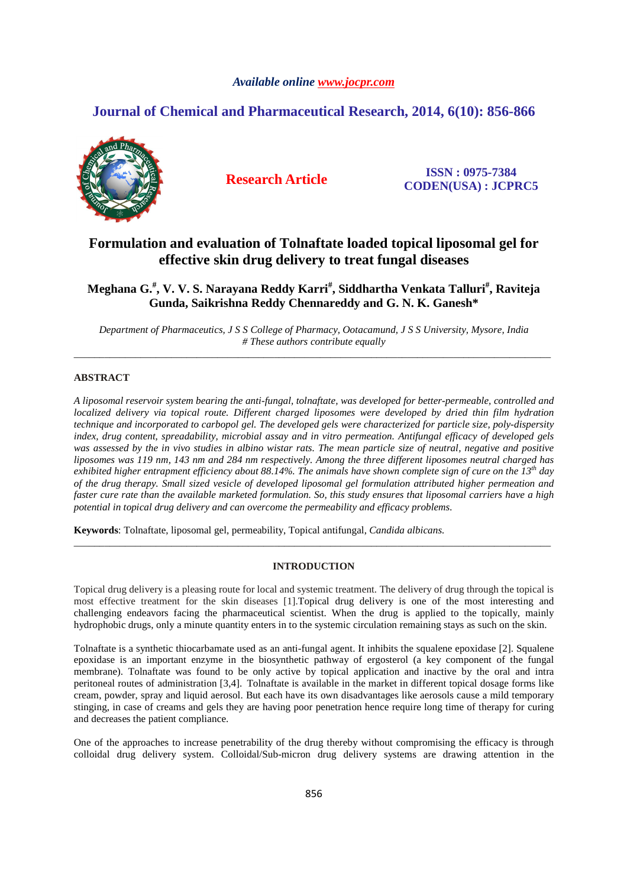# *Available online www.jocpr.com*

# **Journal of Chemical and Pharmaceutical Research, 2014, 6(10): 856-866**



**Research Article ISSN : 0975-7384 CODEN(USA) : JCPRC5**

# **Formulation and evaluation of Tolnaftate loaded topical liposomal gel for effective skin drug delivery to treat fungal diseases**

**Meghana G.# , V. V. S. Narayana Reddy Karri# , Siddhartha Venkata Talluri# , Raviteja Gunda, Saikrishna Reddy Chennareddy and G. N. K. Ganesh\*** 

*Department of Pharmaceutics, J S S College of Pharmacy, Ootacamund, J S S University, Mysore, India # These authors contribute equally*  \_\_\_\_\_\_\_\_\_\_\_\_\_\_\_\_\_\_\_\_\_\_\_\_\_\_\_\_\_\_\_\_\_\_\_\_\_\_\_\_\_\_\_\_\_\_\_\_\_\_\_\_\_\_\_\_\_\_\_\_\_\_\_\_\_\_\_\_\_\_\_\_\_\_\_\_\_\_\_\_\_\_\_\_\_\_\_\_\_\_\_\_\_

# **ABSTRACT**

*A liposomal reservoir system bearing the anti-fungal, tolnaftate, was developed for better-permeable, controlled and localized delivery via topical route. Different charged liposomes were developed by dried thin film hydration technique and incorporated to carbopol gel. The developed gels were characterized for particle size, poly-dispersity index, drug content, spreadability, microbial assay and in vitro permeation. Antifungal efficacy of developed gels*  was assessed by the in vivo studies in albino wistar rats. The mean particle size of neutral, negative and positive *liposomes was 119 nm, 143 nm and 284 nm respectively. Among the three different liposomes neutral charged has exhibited higher entrapment efficiency about 88.14%. The animals have shown complete sign of cure on the 13th day of the drug therapy. Small sized vesicle of developed liposomal gel formulation attributed higher permeation and faster cure rate than the available marketed formulation. So, this study ensures that liposomal carriers have a high potential in topical drug delivery and can overcome the permeability and efficacy problems.* 

**Keywords**: Tolnaftate, liposomal gel, permeability, Topical antifungal, *Candida albicans.* 

# **INTRODUCTION**

\_\_\_\_\_\_\_\_\_\_\_\_\_\_\_\_\_\_\_\_\_\_\_\_\_\_\_\_\_\_\_\_\_\_\_\_\_\_\_\_\_\_\_\_\_\_\_\_\_\_\_\_\_\_\_\_\_\_\_\_\_\_\_\_\_\_\_\_\_\_\_\_\_\_\_\_\_\_\_\_\_\_\_\_\_\_\_\_\_\_\_\_\_

Topical drug delivery is a pleasing route for local and systemic treatment. The delivery of drug through the topical is most effective treatment for the skin diseases [1].Topical drug delivery is one of the most interesting and challenging endeavors facing the pharmaceutical scientist. When the drug is applied to the topically, mainly hydrophobic drugs, only a minute quantity enters in to the systemic circulation remaining stays as such on the skin.

Tolnaftate is a synthetic thiocarbamate used as an anti-fungal agent. It inhibits the squalene epoxidase [2]. Squalene epoxidase is an important enzyme in the biosynthetic pathway of ergosterol (a key component of the fungal membrane). Tolnaftate was found to be only active by topical application and inactive by the oral and intra peritoneal routes of administration [3,4]. Tolnaftate is available in the market in different topical dosage forms like cream, powder, spray and liquid aerosol. But each have its own disadvantages like aerosols cause a mild temporary stinging, in case of creams and gels they are having poor penetration hence require long time of therapy for curing and decreases the patient compliance.

One of the approaches to increase penetrability of the drug thereby without compromising the efficacy is through colloidal drug delivery system. Colloidal/Sub-micron drug delivery systems are drawing attention in the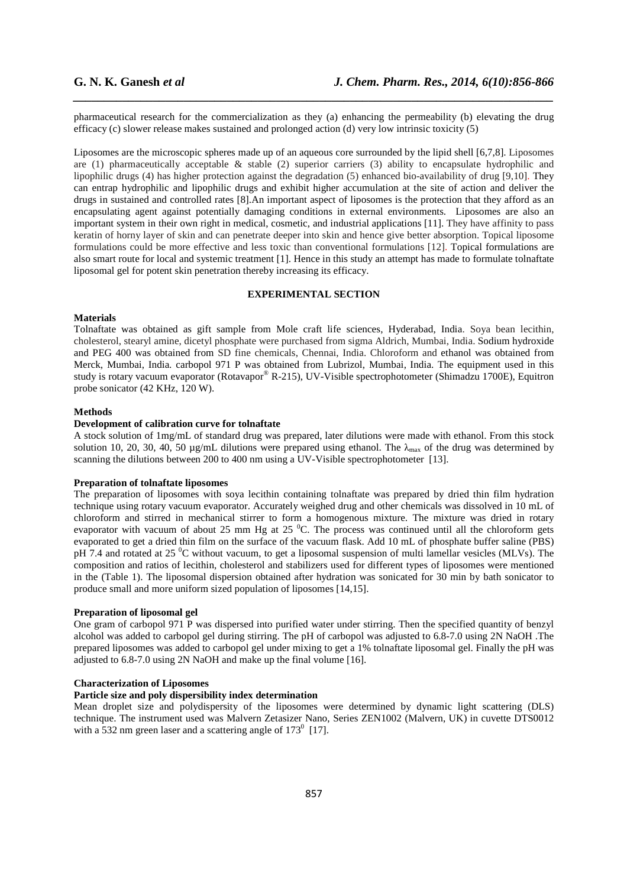pharmaceutical research for the commercialization as they (a) enhancing the permeability (b) elevating the drug efficacy (c) slower release makes sustained and prolonged action (d) very low intrinsic toxicity (5)

*\_\_\_\_\_\_\_\_\_\_\_\_\_\_\_\_\_\_\_\_\_\_\_\_\_\_\_\_\_\_\_\_\_\_\_\_\_\_\_\_\_\_\_\_\_\_\_\_\_\_\_\_\_\_\_\_\_\_\_\_\_\_\_\_\_\_\_\_\_\_\_\_\_\_\_\_\_\_*

Liposomes are the microscopic spheres made up of an aqueous core surrounded by the lipid shell [6,7,8]. Liposomes are (1) pharmaceutically acceptable  $\&$  stable (2) superior carriers (3) ability to encapsulate hydrophilic and lipophilic drugs (4) has higher protection against the degradation (5) enhanced bio-availability of drug [9,10]. They can entrap hydrophilic and lipophilic drugs and exhibit higher accumulation at the site of action and deliver the drugs in sustained and controlled rates [8].An important aspect of liposomes is the protection that they afford as an encapsulating agent against potentially damaging conditions in external environments. Liposomes are also an important system in their own right in medical, cosmetic, and industrial applications [11]. They have affinity to pass keratin of horny layer of skin and can penetrate deeper into skin and hence give better absorption. Topical liposome formulations could be more effective and less toxic than conventional formulations [12]. Topical formulations are also smart route for local and systemic treatment [1]. Hence in this study an attempt has made to formulate tolnaftate liposomal gel for potent skin penetration thereby increasing its efficacy.

# **EXPERIMENTAL SECTION**

# **Materials**

Tolnaftate was obtained as gift sample from Mole craft life sciences, Hyderabad, India. Soya bean lecithin, cholesterol, stearyl amine, dicetyl phosphate were purchased from sigma Aldrich, Mumbai, India. Sodium hydroxide and PEG 400 was obtained from SD fine chemicals, Chennai, India. Chloroform and ethanol was obtained from Merck, Mumbai, India. carbopol 971 P was obtained from Lubrizol, Mumbai, India. The equipment used in this study is rotary vacuum evaporator (Rotavapor® R-215), UV-Visible spectrophotometer (Shimadzu 1700E), Equitron probe sonicator (42 KHz, 120 W).

# **Methods**

# **Development of calibration curve for tolnaftate**

A stock solution of 1mg/mL of standard drug was prepared, later dilutions were made with ethanol. From this stock solution 10, 20, 30, 40, 50 µg/mL dilutions were prepared using ethanol. The  $\lambda_{\text{max}}$  of the drug was determined by scanning the dilutions between 200 to 400 nm using a UV-Visible spectrophotometer [13].

# **Preparation of tolnaftate liposomes**

The preparation of liposomes with soya lecithin containing tolnaftate was prepared by dried thin film hydration technique using rotary vacuum evaporator. Accurately weighed drug and other chemicals was dissolved in 10 mL of chloroform and stirred in mechanical stirrer to form a homogenous mixture. The mixture was dried in rotary evaporator with vacuum of about 25 mm Hg at 25  $^{\circ}$ C. The process was continued until all the chloroform gets evaporated to get a dried thin film on the surface of the vacuum flask. Add 10 mL of phosphate buffer saline (PBS) pH 7.4 and rotated at 25 <sup>o</sup>C without vacuum, to get a liposomal suspension of multi lamellar vesicles (MLVs). The composition and ratios of lecithin, cholesterol and stabilizers used for different types of liposomes were mentioned in the (Table 1). The liposomal dispersion obtained after hydration was sonicated for 30 min by bath sonicator to produce small and more uniform sized population of liposomes [14,15].

#### **Preparation of liposomal gel**

One gram of carbopol 971 P was dispersed into purified water under stirring. Then the specified quantity of benzyl alcohol was added to carbopol gel during stirring. The pH of carbopol was adjusted to 6.8-7.0 using 2N NaOH .The prepared liposomes was added to carbopol gel under mixing to get a 1% tolnaftate liposomal gel. Finally the pH was adjusted to 6.8-7.0 using 2N NaOH and make up the final volume [16].

### **Characterization of Liposomes**

# **Particle size and poly dispersibility index determination**

Mean droplet size and polydispersity of the liposomes were determined by dynamic light scattering (DLS) technique. The instrument used was Malvern Zetasizer Nano, Series ZEN1002 (Malvern, UK) in cuvette DTS0012 with a 532 nm green laser and a scattering angle of  $173^{\circ}$  [17].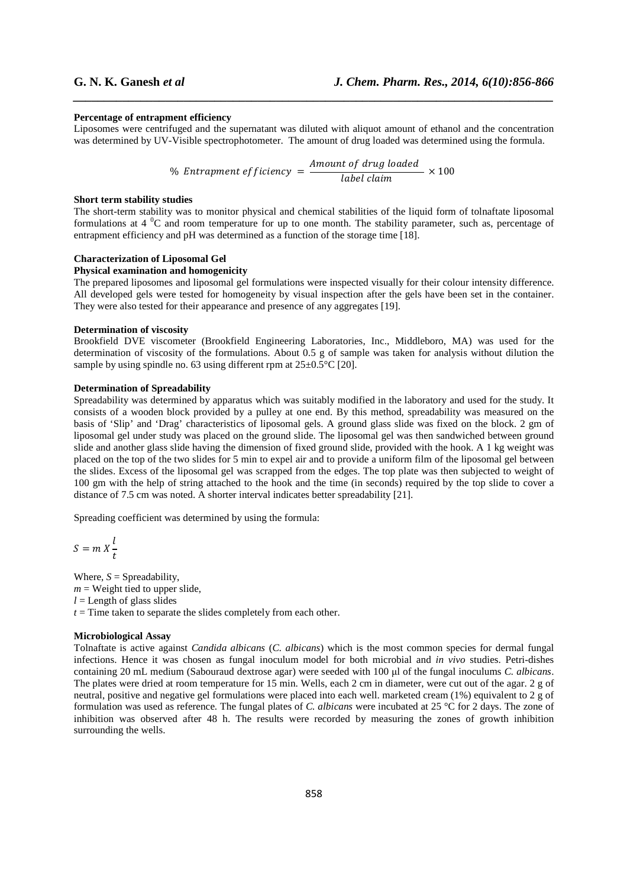### **Percentage of entrapment efficiency**

Liposomes were centrifuged and the supernatant was diluted with aliquot amount of ethanol and the concentration was determined by UV-Visible spectrophotometer. The amount of drug loaded was determined using the formula.

*\_\_\_\_\_\_\_\_\_\_\_\_\_\_\_\_\_\_\_\_\_\_\_\_\_\_\_\_\_\_\_\_\_\_\_\_\_\_\_\_\_\_\_\_\_\_\_\_\_\_\_\_\_\_\_\_\_\_\_\_\_\_\_\_\_\_\_\_\_\_\_\_\_\_\_\_\_\_*

% Entrapment efficiency  $=\frac{Amount of drug loaded}{(dashed - red)$  $\frac{1}{\text{label claim}} \times 100$ 

# **Short term stability studies**

The short-term stability was to monitor physical and chemical stabilities of the liquid form of tolnaftate liposomal formulations at  $4 \degree C$  and room temperature for up to one month. The stability parameter, such as, percentage of entrapment efficiency and pH was determined as a function of the storage time [18].

## **Characterization of Liposomal Gel**

# **Physical examination and homogenicity**

The prepared liposomes and liposomal gel formulations were inspected visually for their colour intensity difference. All developed gels were tested for homogeneity by visual inspection after the gels have been set in the container. They were also tested for their appearance and presence of any aggregates [19].

# **Determination of viscosity**

Brookfield DVE viscometer (Brookfield Engineering Laboratories, Inc., Middleboro, MA) was used for the determination of viscosity of the formulations. About 0.5 g of sample was taken for analysis without dilution the sample by using spindle no. 63 using different rpm at  $25\pm0.5^{\circ}$ C [20].

# **Determination of Spreadability**

Spreadability was determined by apparatus which was suitably modified in the laboratory and used for the study. It consists of a wooden block provided by a pulley at one end. By this method, spreadability was measured on the basis of 'Slip' and 'Drag' characteristics of liposomal gels. A ground glass slide was fixed on the block. 2 gm of liposomal gel under study was placed on the ground slide. The liposomal gel was then sandwiched between ground slide and another glass slide having the dimension of fixed ground slide, provided with the hook. A 1 kg weight was placed on the top of the two slides for 5 min to expel air and to provide a uniform film of the liposomal gel between the slides. Excess of the liposomal gel was scrapped from the edges. The top plate was then subjected to weight of 100 gm with the help of string attached to the hook and the time (in seconds) required by the top slide to cover a distance of 7.5 cm was noted. A shorter interval indicates better spreadability [21].

Spreading coefficient was determined by using the formula:

$$
S = m X \frac{l}{t}
$$

Where,  $S =$  Spreadability,  $m =$  Weight tied to upper slide,  $l =$  Length of glass slides  $t =$ Time taken to separate the slides completely from each other.

#### **Microbiological Assay**

Tolnaftate is active against *Candida albicans* (*C. albicans*) which is the most common species for dermal fungal infections. Hence it was chosen as fungal inoculum model for both microbial and *in vivo* studies. Petri-dishes containing 20 mL medium (Sabouraud dextrose agar) were seeded with 100 µl of the fungal inoculums *C. albicans*. The plates were dried at room temperature for 15 min. Wells, each 2 cm in diameter, were cut out of the agar. 2 g of neutral, positive and negative gel formulations were placed into each well. marketed cream (1%) equivalent to 2 g of formulation was used as reference. The fungal plates of *C. albicans* were incubated at 25 °C for 2 days. The zone of inhibition was observed after 48 h. The results were recorded by measuring the zones of growth inhibition surrounding the wells.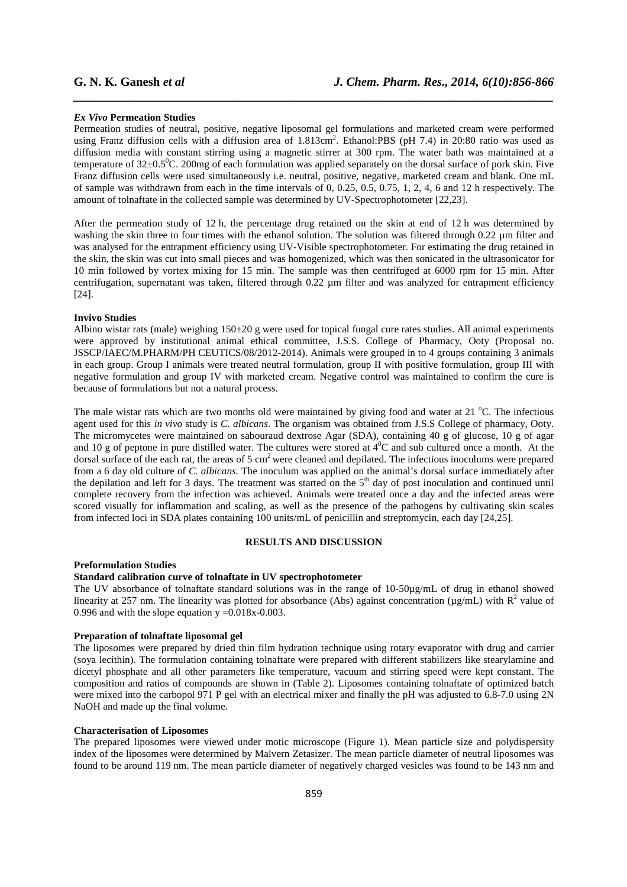### *Ex Vivo* **Permeation Studies**

Permeation studies of neutral, positive, negative liposomal gel formulations and marketed cream were performed using Franz diffusion cells with a diffusion area of 1.813cm<sup>2</sup>. Ethanol:PBS (pH 7.4) in 20:80 ratio was used as diffusion media with constant stirring using a magnetic stirrer at 300 rpm. The water bath was maintained at a temperature of  $32\pm0.5^{\circ}$ C. 200mg of each formulation was applied separately on the dorsal surface of pork skin. Five Franz diffusion cells were used simultaneously i.e. neutral, positive, negative, marketed cream and blank. One mL of sample was withdrawn from each in the time intervals of 0, 0.25, 0.5, 0.75, 1, 2, 4, 6 and 12 h respectively. The amount of tolnaftate in the collected sample was determined by UV-Spectrophotometer [22,23].

*\_\_\_\_\_\_\_\_\_\_\_\_\_\_\_\_\_\_\_\_\_\_\_\_\_\_\_\_\_\_\_\_\_\_\_\_\_\_\_\_\_\_\_\_\_\_\_\_\_\_\_\_\_\_\_\_\_\_\_\_\_\_\_\_\_\_\_\_\_\_\_\_\_\_\_\_\_\_*

After the permeation study of 12 h, the percentage drug retained on the skin at end of 12 h was determined by washing the skin three to four times with the ethanol solution. The solution was filtered through 0.22  $\mu$ m filter and was analysed for the entrapment efficiency using UV-Visible spectrophotometer. For estimating the drug retained in the skin, the skin was cut into small pieces and was homogenized, which was then sonicated in the ultrasonicator for 10 min followed by vortex mixing for 15 min. The sample was then centrifuged at 6000 rpm for 15 min. After centrifugation, supernatant was taken, filtered through 0.22  $\mu$ m filter and was analyzed for entrapment efficiency [24].

## **Invivo Studies**

Albino wistar rats (male) weighing  $150\pm20$  g were used for topical fungal cure rates studies. All animal experiments were approved by institutional animal ethical committee, J.S.S. College of Pharmacy, Ooty (Proposal no. JSSCP/IAEC/M.PHARM/PH CEUTICS/08/2012-2014). Animals were grouped in to 4 groups containing 3 animals in each group. Group I animals were treated neutral formulation, group II with positive formulation, group III with negative formulation and group IV with marketed cream. Negative control was maintained to confirm the cure is because of formulations but not a natural process.

The male wistar rats which are two months old were maintained by giving food and water at 21 °C. The infectious agent used for this *in vivo* study is *C. albicans*. The organism was obtained from J.S.S College of pharmacy, Ooty. The micromycetes were maintained on sabouraud dextrose Agar (SDA), containing 40 g of glucose, 10 g of agar and 10 g of peptone in pure distilled water. The cultures were stored at  $4^0C$  and sub cultured once a month. At the dorsal surface of the each rat, the areas of 5 cm<sup>2</sup> were cleaned and depilated. The infectious inoculums were prepared from a 6 day old culture of *C. albicans.* The inoculum was applied on the animal's dorsal surface immediately after the depilation and left for 3 days. The treatment was started on the 5<sup>th</sup> day of post inoculation and continued until complete recovery from the infection was achieved. Animals were treated once a day and the infected areas were scored visually for inflammation and scaling, as well as the presence of the pathogens by cultivating skin scales from infected loci in SDA plates containing 100 units/mL of penicillin and streptomycin, each day [24,25].

# **RESULTS AND DISCUSSION**

## **Preformulation Studies**

# **Standard calibration curve of tolnaftate in UV spectrophotometer**

The UV absorbance of tolnaftate standard solutions was in the range of 10-50µg/mL of drug in ethanol showed linearity at 257 nm. The linearity was plotted for absorbance (Abs) against concentration ( $\mu$ g/mL) with  $R^2$  value of 0.996 and with the slope equation  $y = 0.018x - 0.003$ .

#### **Preparation of tolnaftate liposomal gel**

The liposomes were prepared by dried thin film hydration technique using rotary evaporator with drug and carrier (soya lecithin). The formulation containing tolnaftate were prepared with different stabilizers like stearylamine and dicetyl phosphate and all other parameters like temperature, vacuum and stirring speed were kept constant. The composition and ratios of compounds are shown in (Table 2). Liposomes containing tolnaftate of optimized batch were mixed into the carbopol 971 P gel with an electrical mixer and finally the pH was adjusted to 6.8-7.0 using 2N NaOH and made up the final volume.

## **Characterisation of Liposomes**

The prepared liposomes were viewed under motic microscope (Figure 1). Mean particle size and polydispersity index of the liposomes were determined by Malvern Zetasizer. The mean particle diameter of neutral liposomes was found to be around 119 nm. The mean particle diameter of negatively charged vesicles was found to be 143 nm and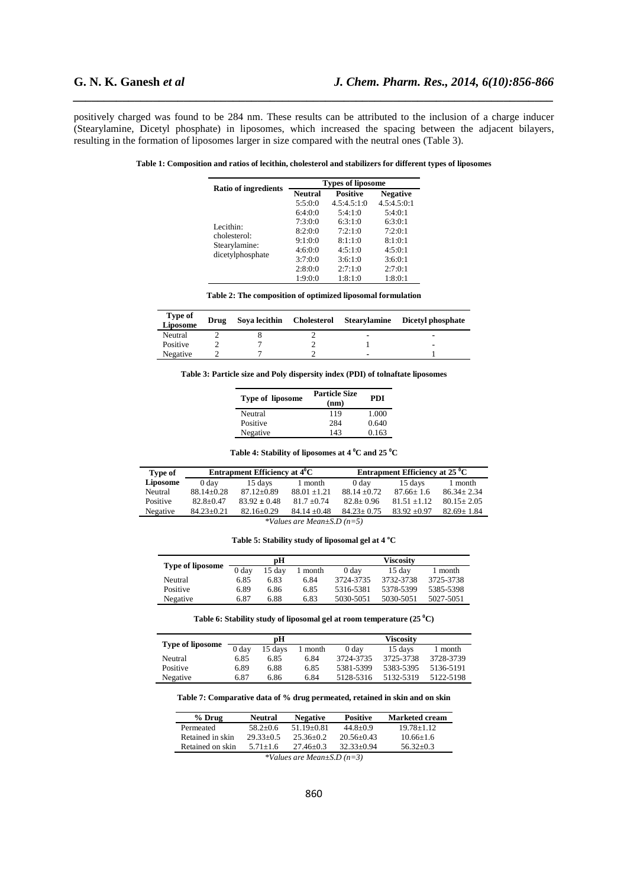positively charged was found to be 284 nm. These results can be attributed to the inclusion of a charge inducer (Stearylamine, Dicetyl phosphate) in liposomes, which increased the spacing between the adjacent bilayers, resulting in the formation of liposomes larger in size compared with the neutral ones (Table 3).

*\_\_\_\_\_\_\_\_\_\_\_\_\_\_\_\_\_\_\_\_\_\_\_\_\_\_\_\_\_\_\_\_\_\_\_\_\_\_\_\_\_\_\_\_\_\_\_\_\_\_\_\_\_\_\_\_\_\_\_\_\_\_\_\_\_\_\_\_\_\_\_\_\_\_\_\_\_\_*

| Table 1: Composition and ratios of lecithin, cholesterol and stabilizers for different types of liposomes |  |
|-----------------------------------------------------------------------------------------------------------|--|
|                                                                                                           |  |

|                                   | <b>Types of liposome</b> |                 |                 |  |  |
|-----------------------------------|--------------------------|-----------------|-----------------|--|--|
| <b>Ratio of ingredients</b>       | <b>Neutral</b>           | <b>Positive</b> | <b>Negative</b> |  |  |
|                                   | 5:5:0:0                  | 4.5:4.5:1:0     | 4.5:4.5:0:1     |  |  |
|                                   | 6:4:0:0                  | 5:4:1:0         | 5:4:0:1         |  |  |
| Lecithin:                         | 7:3:0:0                  | 6:3:1:0         | 6:3:0:1         |  |  |
| cholesterol:                      | 8:2:0:0                  | 7.2.1.0         | 7:2:0:1         |  |  |
|                                   | 9:1:0:0                  | 8:1:1:0         | 8:1:0:1         |  |  |
| Stearylamine:<br>dicetylphosphate | 4:6:0:0                  | 4:5:1:0         | 4:5:0:1         |  |  |
|                                   | 3:7:0:0                  | 3:6:1:0         | 3:6:0:1         |  |  |
|                                   | 2:8:0:0                  | 2:7:1:0         | 2:7:0:1         |  |  |
|                                   | 1:9:0:0                  | 1:8:1:0         | 1:8:0:1         |  |  |

**Table 2: The composition of optimized liposomal formulation** 

| <b>Type of</b><br>Liposome | Drug | Sova lecithin | Cholesterol Stearylamine | Dicetyl phosphate        |
|----------------------------|------|---------------|--------------------------|--------------------------|
| Neutral                    |      |               | $\overline{\phantom{a}}$ |                          |
| Positive                   |      |               |                          | $\overline{\phantom{0}}$ |
| Negative                   |      |               | $\overline{\phantom{a}}$ |                          |

**Table 3: Particle size and Poly dispersity index (PDI) of tolnaftate liposomes** 

| Type of liposome | <b>Particle Size</b><br>(nm) | <b>PDI</b> |
|------------------|------------------------------|------------|
| Neutral          | 119                          | 1.000      |
| Positive         | 284                          | 0.640      |
| Negative         | 143                          | 0.163      |

**Table 4: Stability of liposomes at 4 <sup>0</sup>C and 25 <sup>0</sup>C** 

| Type of  | Entrapment Efficiency at $4^{\circ}$ C |                  |                | Entrapment Efficiency at $25^{\circ}$ C |                |                  |
|----------|----------------------------------------|------------------|----------------|-----------------------------------------|----------------|------------------|
| Liposome | 0 day                                  | 15 days          | 1 month        | 0 day                                   | 15 days        | 1 month          |
| Neutral  | $88.14 + 0.28$                         | $87.12 + 0.89$   | $88.01 + 1.21$ | $88.14 + 0.72$                          | $87.66 + 1.6$  | $86.34 + 2.34$   |
| Positive | $82.8 + 0.47$                          | $83.92 \pm 0.48$ | $817 + 0.74$   | $82.8 + 0.96$                           | $81.51 + 1.12$ | $80.15 + 2.05$   |
| Negative | $84.23 \pm 0.21$                       | $82.16 \pm 0.29$ | $84.14 + 0.48$ | $84.23 + 0.75$                          | $83.92 + 0.97$ | $82.69 \pm 1.84$ |
|          |                                        |                  |                |                                         |                |                  |

*\*Values are Mean±S.D (n=5)* 

**Table 5: Stability study of liposomal gel at 4 <sup>o</sup>C** 

| <b>Type of liposome</b> | рH               |        |         | <b>Viscosity</b> |           |           |
|-------------------------|------------------|--------|---------|------------------|-----------|-----------|
|                         | 0 <sub>day</sub> | 15 dav | 1 month | 0 day            | 15 dav    | 1 month   |
| Neutral                 | 6.85             | 6.83   | 6.84    | 3724-3735        | 3732-3738 | 3725-3738 |
| Positive                | 6.89             | 6.86   | 6.85    | 5316-5381        | 5378-5399 | 5385-5398 |
| Negative                | 6.87             | 6.88   | 6.83    | 5030-5051        | 5030-5051 | 5027-5051 |

**Table 6: Stability study of liposomal gel at room temperature (25 <sup>0</sup>C)** 

| <b>Type of liposome</b> | рH               |         |         | <b>Viscosity</b> |           |           |
|-------------------------|------------------|---------|---------|------------------|-----------|-----------|
|                         | 0 <sub>day</sub> | 15 days | 1 month | 0 day            | 15 days   | 1 month   |
| Neutral                 | 6.85             | 6.85    | 6.84    | 3724-3735        | 3725-3738 | 3728-3739 |
| Positive                | 6.89             | 6.88    | 6.85    | 5381-5399        | 5383-5395 | 5136-5191 |
| Negative                | 6.87             | 6.86    | 6.84    | 5128-5316        | 5132-5319 | 5122-5198 |

**Table 7: Comparative data of % drug permeated, retained in skin and on skin** 

| $%$ Drug                                                                             | <b>Neutral</b> | <b>Negative</b> | <b>Positive</b> | <b>Marketed cream</b> |  |  |
|--------------------------------------------------------------------------------------|----------------|-----------------|-----------------|-----------------------|--|--|
| Permeated                                                                            | $58.2 + 0.6$   | $51.19 + 0.81$  | $44.8 + 0.9$    | $19.78 + 1.12$        |  |  |
| Retained in skin                                                                     | $29.33 + 0.5$  | $25.36 + 0.2$   | $20.56 + 0.43$  | $10.66 + 1.6$         |  |  |
| Retained on skin<br>$32.33 + 0.94$<br>$56.32 + 0.3$<br>$5.71 + 1.6$<br>$27.46 + 0.3$ |                |                 |                 |                       |  |  |
| *Values are Mean+S.D $(n=3)$                                                         |                |                 |                 |                       |  |  |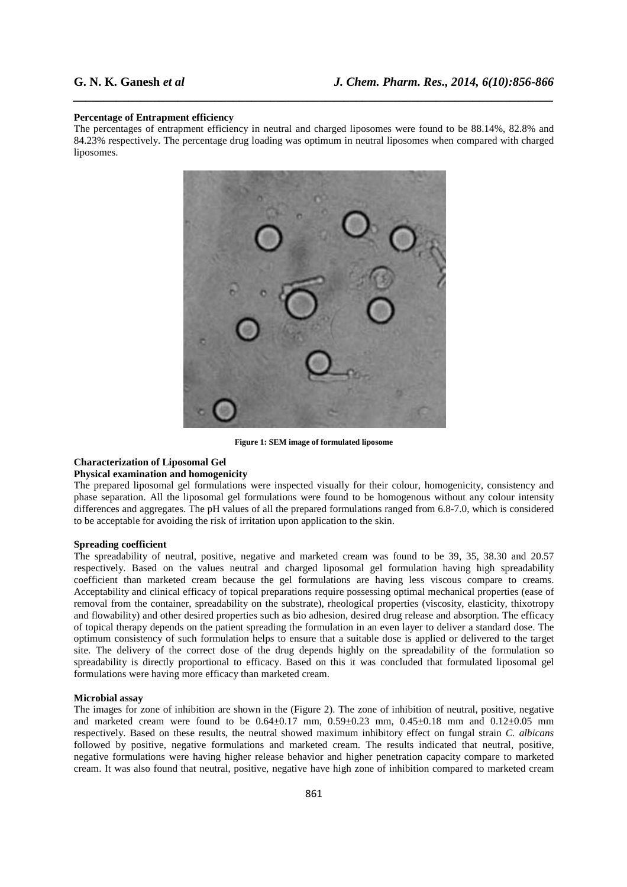# **Percentage of Entrapment efficiency**

The percentages of entrapment efficiency in neutral and charged liposomes were found to be 88.14%, 82.8% and 84.23% respectively. The percentage drug loading was optimum in neutral liposomes when compared with charged liposomes.

*\_\_\_\_\_\_\_\_\_\_\_\_\_\_\_\_\_\_\_\_\_\_\_\_\_\_\_\_\_\_\_\_\_\_\_\_\_\_\_\_\_\_\_\_\_\_\_\_\_\_\_\_\_\_\_\_\_\_\_\_\_\_\_\_\_\_\_\_\_\_\_\_\_\_\_\_\_\_*



**Figure 1: SEM image of formulated liposome** 

# **Characterization of Liposomal Gel**

# **Physical examination and homogenicity**

The prepared liposomal gel formulations were inspected visually for their colour, homogenicity, consistency and phase separation. All the liposomal gel formulations were found to be homogenous without any colour intensity differences and aggregates. The pH values of all the prepared formulations ranged from 6.8-7.0, which is considered to be acceptable for avoiding the risk of irritation upon application to the skin.

# **Spreading coefficient**

The spreadability of neutral, positive, negative and marketed cream was found to be 39, 35, 38.30 and 20.57 respectively. Based on the values neutral and charged liposomal gel formulation having high spreadability coefficient than marketed cream because the gel formulations are having less viscous compare to creams. Acceptability and clinical efficacy of topical preparations require possessing optimal mechanical properties (ease of removal from the container, spreadability on the substrate), rheological properties (viscosity, elasticity, thixotropy and flowability) and other desired properties such as bio adhesion, desired drug release and absorption. The efficacy of topical therapy depends on the patient spreading the formulation in an even layer to deliver a standard dose. The optimum consistency of such formulation helps to ensure that a suitable dose is applied or delivered to the target site. The delivery of the correct dose of the drug depends highly on the spreadability of the formulation so spreadability is directly proportional to efficacy. Based on this it was concluded that formulated liposomal gel formulations were having more efficacy than marketed cream.

# **Microbial assay**

The images for zone of inhibition are shown in the (Figure 2). The zone of inhibition of neutral, positive, negative and marketed cream were found to be  $0.64 \pm 0.17$  mm,  $0.59 \pm 0.23$  mm,  $0.45 \pm 0.18$  mm and  $0.12 \pm 0.05$  mm respectively. Based on these results, the neutral showed maximum inhibitory effect on fungal strain *C. albicans*  followed by positive, negative formulations and marketed cream. The results indicated that neutral, positive, negative formulations were having higher release behavior and higher penetration capacity compare to marketed cream. It was also found that neutral, positive, negative have high zone of inhibition compared to marketed cream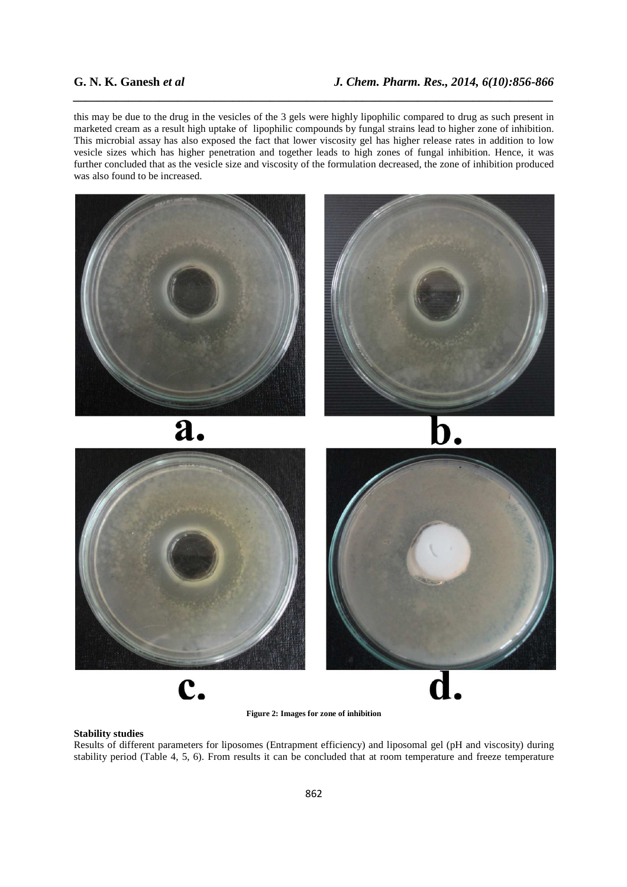this may be due to the drug in the vesicles of the 3 gels were highly lipophilic compared to drug as such present in marketed cream as a result high uptake of lipophilic compounds by fungal strains lead to higher zone of inhibition. This microbial assay has also exposed the fact that lower viscosity gel has higher release rates in addition to low vesicle sizes which has higher penetration and together leads to high zones of fungal inhibition. Hence, it was further concluded that as the vesicle size and viscosity of the formulation decreased, the zone of inhibition produced was also found to be increased.

*\_\_\_\_\_\_\_\_\_\_\_\_\_\_\_\_\_\_\_\_\_\_\_\_\_\_\_\_\_\_\_\_\_\_\_\_\_\_\_\_\_\_\_\_\_\_\_\_\_\_\_\_\_\_\_\_\_\_\_\_\_\_\_\_\_\_\_\_\_\_\_\_\_\_\_\_\_\_*



**Figure 2: Images for zone of inhibition** 

# **Stability studies**

Results of different parameters for liposomes (Entrapment efficiency) and liposomal gel (pH and viscosity) during stability period (Table 4, 5, 6). From results it can be concluded that at room temperature and freeze temperature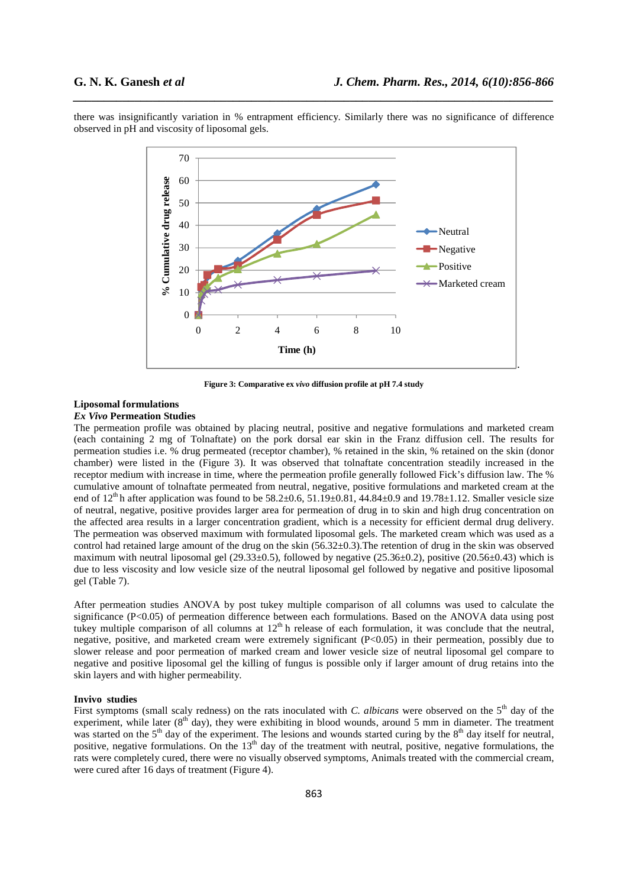**.** 



*\_\_\_\_\_\_\_\_\_\_\_\_\_\_\_\_\_\_\_\_\_\_\_\_\_\_\_\_\_\_\_\_\_\_\_\_\_\_\_\_\_\_\_\_\_\_\_\_\_\_\_\_\_\_\_\_\_\_\_\_\_\_\_\_\_\_\_\_\_\_\_\_\_\_\_\_\_\_*



**Figure 3: Comparative ex** *vivo* **diffusion profile at pH 7.4 study** 

# **Liposomal formulations**

# *Ex Vivo* **Permeation Studies**

The permeation profile was obtained by placing neutral, positive and negative formulations and marketed cream (each containing 2 mg of Tolnaftate) on the pork dorsal ear skin in the Franz diffusion cell. The results for permeation studies i.e. % drug permeated (receptor chamber), % retained in the skin, % retained on the skin (donor chamber) were listed in the (Figure 3). It was observed that tolnaftate concentration steadily increased in the receptor medium with increase in time, where the permeation profile generally followed Fick's diffusion law. The % cumulative amount of tolnaftate permeated from neutral, negative, positive formulations and marketed cream at the end of  $12^{th}$  h after application was found to be  $58.2\pm0.6$ ,  $51.19\pm0.81$ ,  $44.84\pm0.9$  and  $19.78\pm1.12$ . Smaller vesicle size of neutral, negative, positive provides larger area for permeation of drug in to skin and high drug concentration on the affected area results in a larger concentration gradient, which is a necessity for efficient dermal drug delivery. The permeation was observed maximum with formulated liposomal gels. The marketed cream which was used as a control had retained large amount of the drug on the skin (56.32±0.3).The retention of drug in the skin was observed maximum with neutral liposomal gel (29.33±0.5), followed by negative (25.36±0.2), positive (20.56±0.43) which is due to less viscosity and low vesicle size of the neutral liposomal gel followed by negative and positive liposomal gel (Table 7).

After permeation studies ANOVA by post tukey multiple comparison of all columns was used to calculate the significance (P<0.05) of permeation difference between each formulations. Based on the ANOVA data using post tukey multiple comparison of all columns at  $12<sup>th</sup>$  h release of each formulation, it was conclude that the neutral, negative, positive, and marketed cream were extremely significant (P<0.05) in their permeation, possibly due to slower release and poor permeation of marked cream and lower vesicle size of neutral liposomal gel compare to negative and positive liposomal gel the killing of fungus is possible only if larger amount of drug retains into the skin layers and with higher permeability.

## **Invivo studies**

First symptoms (small scaly redness) on the rats inoculated with *C. albicans* were observed on the 5<sup>th</sup> day of the experiment, while later  $(8<sup>th</sup>$  day), they were exhibiting in blood wounds, around 5 mm in diameter. The treatment was started on the  $5<sup>th</sup>$  day of the experiment. The lesions and wounds started curing by the  $8<sup>th</sup>$  day itself for neutral, positive, negative formulations. On the  $13<sup>th</sup>$  day of the treatment with neutral, positive, negative formulations, the rats were completely cured, there were no visually observed symptoms, Animals treated with the commercial cream, were cured after 16 days of treatment (Figure 4).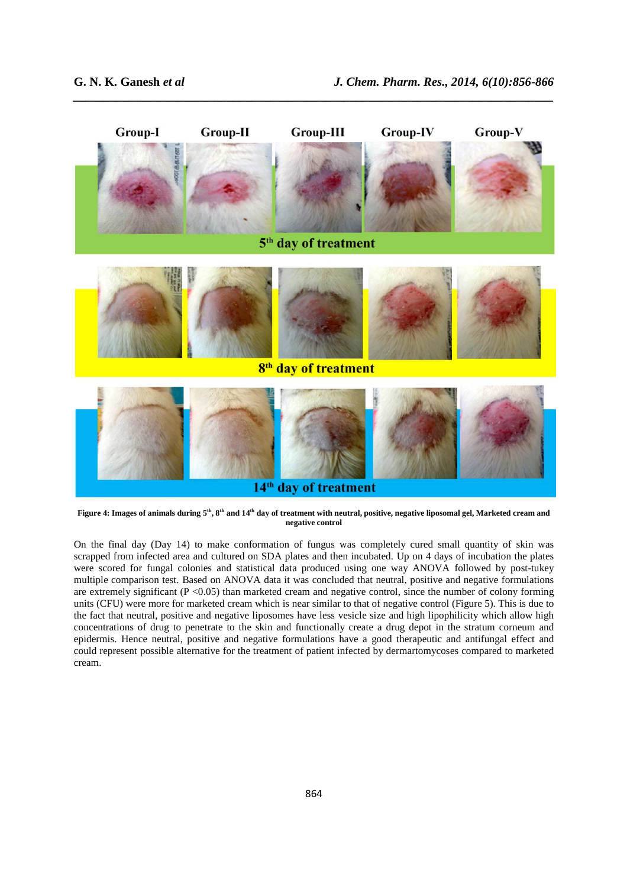

*\_\_\_\_\_\_\_\_\_\_\_\_\_\_\_\_\_\_\_\_\_\_\_\_\_\_\_\_\_\_\_\_\_\_\_\_\_\_\_\_\_\_\_\_\_\_\_\_\_\_\_\_\_\_\_\_\_\_\_\_\_\_\_\_\_\_\_\_\_\_\_\_\_\_\_\_\_\_*

**Figure 4: Images of animals during 5th, 8th and 14th day of treatment with neutral, positive, negative liposomal gel, Marketed cream and negative control** 

On the final day (Day 14) to make conformation of fungus was completely cured small quantity of skin was scrapped from infected area and cultured on SDA plates and then incubated. Up on 4 days of incubation the plates were scored for fungal colonies and statistical data produced using one way ANOVA followed by post-tukey multiple comparison test. Based on ANOVA data it was concluded that neutral, positive and negative formulations are extremely significant (P <0.05) than marketed cream and negative control, since the number of colony forming units (CFU) were more for marketed cream which is near similar to that of negative control (Figure 5). This is due to the fact that neutral, positive and negative liposomes have less vesicle size and high lipophilicity which allow high concentrations of drug to penetrate to the skin and functionally create a drug depot in the stratum corneum and epidermis. Hence neutral, positive and negative formulations have a good therapeutic and antifungal effect and could represent possible alternative for the treatment of patient infected by dermartomycoses compared to marketed cream.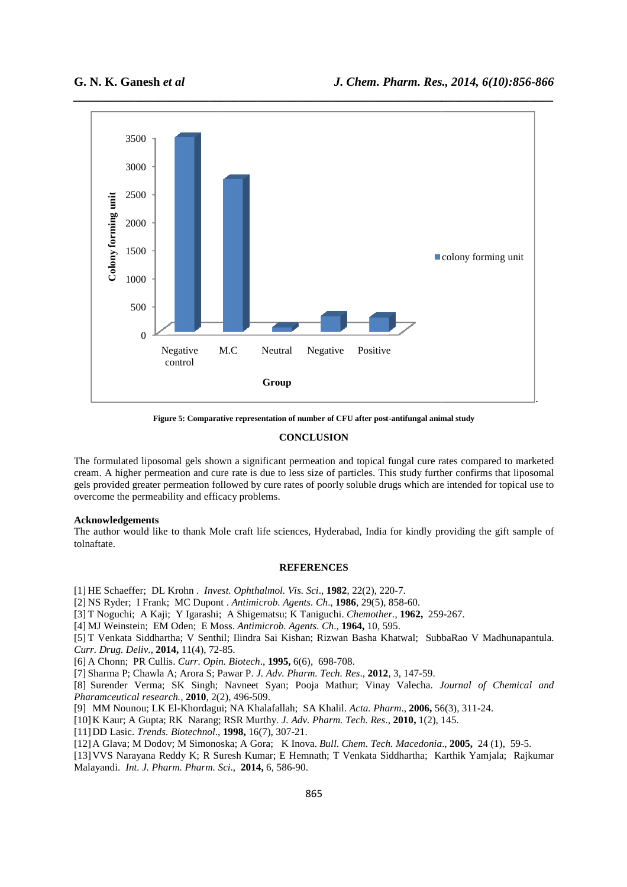

**Figure 5: Comparative representation of number of CFU after post post-antifungal animal study antifungal animal study**

### **CONCLUSION**

The formulated liposomal gels shown a significant permeation and topical fungal cure rates compared to marketed The formulated liposomal gels shown a significant permeation and topical fungal cure rates compared to marketed<br>cream. A higher permeation and cure rate is due to less size of particles. This study further confirms that li gels provided greater permeation followed by cure rates of poorly soluble drugs which are intended for topical use to overcome the permeability and efficacy problems. ignificant permeation and topical fungal cure rates com<br>is due to less size of particles. This study further confil<br>by cure rates of poorly soluble drugs which are intende-<br>oblems.<br>ft life sciences, Hyderabad, India for ki

## **Acknowledgements**

The author would like to thank Mole craft life sciences, Hyderabad, India for kindly providing the gift sample of tolnaftate.

#### **REFERENCES**

[1] HE Schaeffer; DL Krohn . *Invest. Ophthalmol. Vis. Sci*., **1982**, 22(2), 220-7.

- [2] NS Ryder; I Frank; MC Dupont . *Antimicrob. Agents. Ch*., **1986**, 29(5), 858-60.
- [3] T Noguchi; A Kaji; Y Igarashi; A Shigematsu; K Taniguchi.  *Chemother.,* **1962,** 259

[4] MJ Weinstein; EM Oden; E Moss. *Antimicrob. Agents. Ch*., **1964,** 10, 595.

[5] T Venkata Siddhartha; V Senthil; Ilindra Sai Kishan; Rizwan Basha Khatwal; SubbaRao V Madhunapantula. *Curr. Drug. Deliv.,* **2014,** 11(4), 72- -85.

[6] A Chonn; PR Cullis. *Curr. Opin. Biotech*., **1995,** 6(6), 698-708.

[7] Sharma P; Chawla A; Arora S; Pawar P. *J. Adv. Pharm. Tech. Res*., **2012**, 3, 147-59.

[8] Surender Verma; SK Singh; Navneet Syan; Pooja Mathur; Vinay Valecha. *Journal of Chemical and Pharamceutical research.,* **2010**, 2(2), 496 496-509.

[9] MM Nounou; LK El-Khordagui; NA Khalafallah; SA Khalil. Acta. Pharm., 2006, 56(3), 311-24.

[10]K Kaur; A Gupta; RK Narang; RSR Murthy. K *J. Adv. Pharm. Tech. Res*., **2010,** 1(2), 145.

[11]DD Lasic. *Trends. Biotechnol*., **1998,** 16(7), 307-21.

[12] A Glava; M Dodov; M Simonoska; A Gora; K Inova. *Bull. Chem. Tech. Macedonia.*, **2005**, 24 (1), 59-5.

[13]VVS Narayana Reddy K; R Suresh Kumar; E Hemnath; T Venkata Siddhartha; Karthik Yamjala; Rajkumar [13] VVS Narayana Reddy K; R Suresh Kumar; E Hemi<br>Malayandi. *Int. J. Pharm. Pharm. Sci.*, **2014,** 6, 586-90.